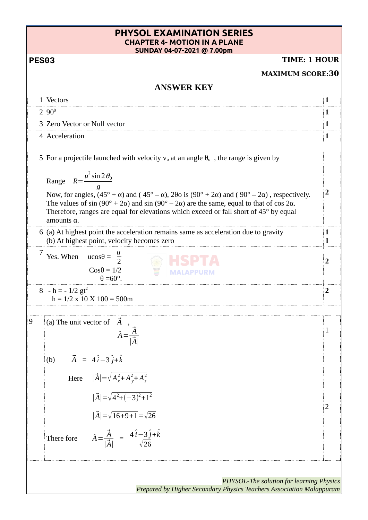| <b>PHYSOL EXAMINATION SERIES</b><br><b>CHAPTER 4- MOTION IN A PLANE</b><br>SUNDAY 04-07-2021 @ 7.00pm |                                                                                                                                                                                                                                                                                                                                                                                                                                                                                                                                                         |                         |
|-------------------------------------------------------------------------------------------------------|---------------------------------------------------------------------------------------------------------------------------------------------------------------------------------------------------------------------------------------------------------------------------------------------------------------------------------------------------------------------------------------------------------------------------------------------------------------------------------------------------------------------------------------------------------|-------------------------|
| <b>TIME: 1 HOUR</b><br><b>PES03</b>                                                                   |                                                                                                                                                                                                                                                                                                                                                                                                                                                                                                                                                         |                         |
| <b>MAXIMUM SCORE:30</b>                                                                               |                                                                                                                                                                                                                                                                                                                                                                                                                                                                                                                                                         |                         |
| <b>ANSWER KEY</b>                                                                                     |                                                                                                                                                                                                                                                                                                                                                                                                                                                                                                                                                         |                         |
|                                                                                                       | 1 Vectors                                                                                                                                                                                                                                                                                                                                                                                                                                                                                                                                               | 1                       |
|                                                                                                       | $2 90^0$                                                                                                                                                                                                                                                                                                                                                                                                                                                                                                                                                | 1                       |
|                                                                                                       | 3 Zero Vector or Null vector                                                                                                                                                                                                                                                                                                                                                                                                                                                                                                                            | $\mathbf{1}$            |
|                                                                                                       | 4 Acceleration                                                                                                                                                                                                                                                                                                                                                                                                                                                                                                                                          | $\mathbf{1}$            |
|                                                                                                       | 5 For a projectile launched with velocity $v_0$ at an angle $\theta_0$ , the range is given by<br>Range $R = \frac{u^2 \sin 2\theta_0}{a}$<br>Now, for angles, $(45^{\circ} + \alpha)$ and $(45^{\circ} - \alpha)$ , $2\theta$ o is $(90^{\circ} + 2\alpha)$ and $(90^{\circ} - 2\alpha)$ , respectively.<br>The values of sin $(90^{\circ} + 2\alpha)$ and sin $(90^{\circ} - 2\alpha)$ are the same, equal to that of cos 2 $\alpha$ .<br>Therefore, ranges are equal for elevations which exceed or fall short of 45° by equal<br>amounts $\alpha$ . | $\overline{2}$          |
|                                                                                                       | 6 (a) At highest point the acceleration remains same as acceleration due to gravity<br>(b) At highest point, velocity becomes zero                                                                                                                                                                                                                                                                                                                                                                                                                      | $\mathbf{1}$<br>1       |
|                                                                                                       | Yes. When $ucos\theta = \frac{u}{2}$<br>$Cos\theta = 1/2$<br>$\theta = 60^\circ$ .                                                                                                                                                                                                                                                                                                                                                                                                                                                                      | 2                       |
|                                                                                                       | $8 \cdot h = -1/2 \text{gt}^2$<br>$h = 1/2$ x 10 X 100 = 500m                                                                                                                                                                                                                                                                                                                                                                                                                                                                                           | $\overline{\mathbf{2}}$ |
| 9                                                                                                     | (a) The unit vector of $\overrightarrow{A}$<br>$\hat{A} = \frac{\vec{A}}{ \vec{A} }$                                                                                                                                                                                                                                                                                                                                                                                                                                                                    | 1                       |
|                                                                                                       | $\vec{A} = 4\hat{i} - 3\hat{j} + \hat{k}$<br>(b)<br>Here $ \vec{A}  = \sqrt{A_x^2 + A_y^2 + A_z^2}$<br>$ \vec{A}  = \sqrt{4^2 + (-3)^2 + 1^2}$<br>$ \vec{A}  = \sqrt{16+9+1} = \sqrt{26}$<br>$\hat{A} = \frac{\vec{A}}{ \vec{A} } = \frac{4\hat{i}-3\hat{j}+\hat{k}}{\sqrt{26}}$<br>There fore                                                                                                                                                                                                                                                          | $^{12}$                 |
| PHYSOL-The solution for learning Physics                                                              |                                                                                                                                                                                                                                                                                                                                                                                                                                                                                                                                                         |                         |

*Prepared by Higher Secondary Physics Teachers Association Malappuram*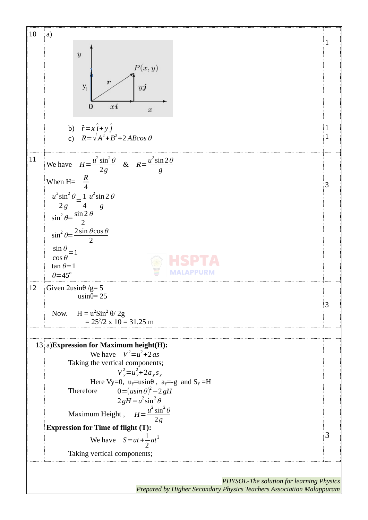

*Prepared by Higher Secondary Physics Teachers Association Malappuram*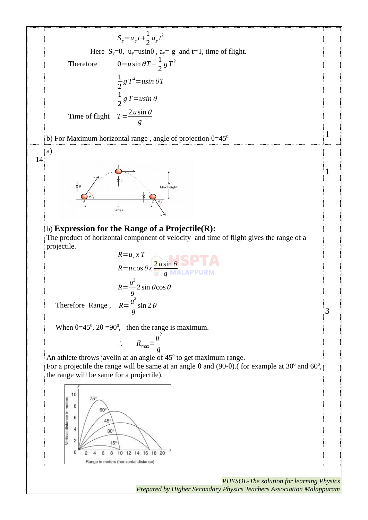$S_y = u_y t + \frac{1}{2}$  $rac{1}{2}a_yt^2$ Here  $S_y=0$ ,  $u_y=$ usin $\theta$ ,  $a_y=-g$  and  $t=T$ , time of flight. Therefore  $0= u \sin \theta T - \frac{1}{2}$  $g\,T^2$ 2 1  $g$   $T^2$   $=$   $us$   $in$   $\theta$   $T$ 2 1  $\frac{1}{2}$ g T = usin  $\theta$ Time of flight  $T = \frac{2 u \sin \theta}{2}$ *g* 1 b) For Maximum horizontal range, angle of projection  $\theta = 45^{\circ}$ . a) 14 1 b) **Expression for the Range of a Projectile(R):** The product of horizontal component of velocity and time of flight gives the range of a projectile. *R*=*u<sup>x</sup> x T*  $R = u \cos \theta x$ <sup>2</sup> *g*  $R = \frac{u^2}{2}$  $2 \sin \theta \cos \theta$ *g* Therefore Range,  $R = \frac{u^2}{2}$  $\sin 2\theta$ *g* 3 When  $\theta$ =45<sup>0</sup>, 2 $\theta$  =90<sup>0</sup>, then the range is maximum. ∴  $R_{\text{max}} = \frac{u^2}{a}$ *g* An athlete throws javelin at an angle of  $45^{\circ}$  to get maximum range. For a projectile the range will be same at an angle θ and (90-θ).( for example at 30<sup>0</sup> and 60<sup>0</sup>, the range will be same for a projectile). 10 Vertical distance in meters 8 60 6  $45^\circ$  $\overline{4}$  $30^\circ$  $\overline{c}$  $15$  $\mathbf 0$ 8 10 12 14 16 18 20  $\overline{2}$  $\overline{4}$ 6 Range in meters (horizontal distance)

> *PHYSOL-The solution for learning Physics Prepared by Higher Secondary Physics Teachers Association Malappuram*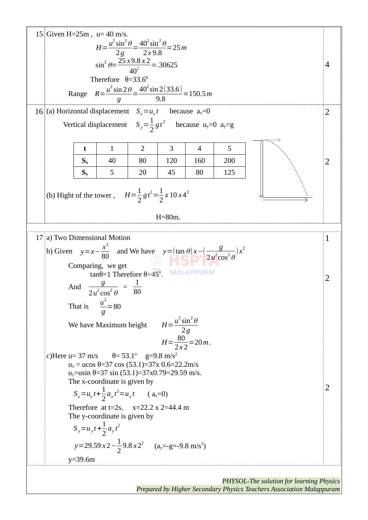

*PHYSOL-The solution for learning Physics Prepared by Higher Secondary Physics Teachers Association Malappuram*